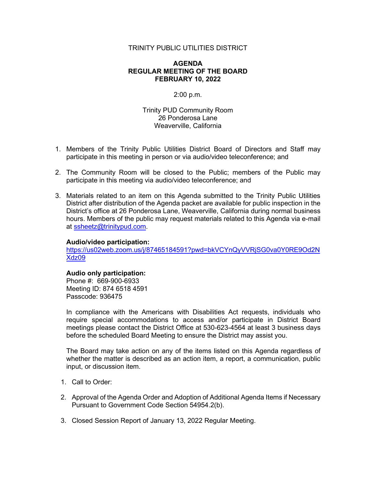## TRINITY PUBLIC UTILITIES DISTRICT

## **AGENDA REGULAR MEETING OF THE BOARD FEBRUARY 10, 2022**

# 2:00 p.m.

Trinity PUD Community Room 26 Ponderosa Lane Weaverville, California

- 1. Members of the Trinity Public Utilities District Board of Directors and Staff may participate in this meeting in person or via audio/video teleconference; and
- 2. The Community Room will be closed to the Public; members of the Public may participate in this meeting via audio/video teleconference; and
- 3. Materials related to an item on this Agenda submitted to the Trinity Public Utilities District after distribution of the Agenda packet are available for public inspection in the District's office at 26 Ponderosa Lane, Weaverville, California during normal business hours. Members of the public may request materials related to this Agenda via e-mail at [ssheetz@trinitypud.com.](mailto:ssheetz@trinitypud.com)

#### **Audio/video participation:**

[https://us02web.zoom.us/j/87465184591?pwd=bkVCYnQyVVRjSG0va0Y0RE9Od2N](https://us02web.zoom.us/j/87465184591?pwd=bkVCYnQyVVRjSG0va0Y0RE9Od2NXdz09) [Xdz09](https://us02web.zoom.us/j/87465184591?pwd=bkVCYnQyVVRjSG0va0Y0RE9Od2NXdz09)

# **Audio only participation:**

Phone #: 669-900-6933 Meeting ID: 874 6518 4591 Passcode: 936475

In compliance with the Americans with Disabilities Act requests, individuals who require special accommodations to access and/or participate in District Board meetings please contact the District Office at 530-623-4564 at least 3 business days before the scheduled Board Meeting to ensure the District may assist you.

The Board may take action on any of the items listed on this Agenda regardless of whether the matter is described as an action item, a report, a communication, public input, or discussion item.

- 1. Call to Order:
- 2. Approval of the Agenda Order and Adoption of Additional Agenda Items if Necessary Pursuant to Government Code Section 54954.2(b).
- 3. Closed Session Report of January 13, 2022 Regular Meeting.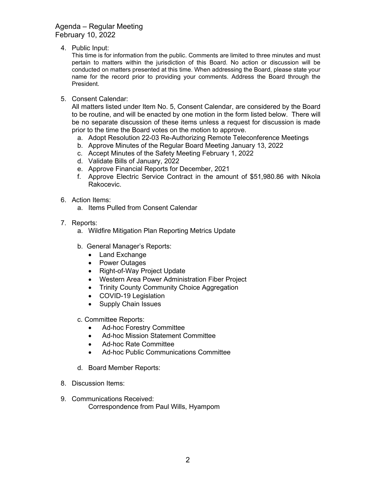Agenda – Regular Meeting February 10, 2022

4. Public Input:

This time is for information from the public. Comments are limited to three minutes and must pertain to matters within the jurisdiction of this Board. No action or discussion will be conducted on matters presented at this time. When addressing the Board, please state your name for the record prior to providing your comments. Address the Board through the President.

5. Consent Calendar:

All matters listed under Item No. 5, Consent Calendar, are considered by the Board to be routine, and will be enacted by one motion in the form listed below. There will be no separate discussion of these items unless a request for discussion is made prior to the time the Board votes on the motion to approve.

- a. Adopt Resolution 22-03 Re-Authorizing Remote Teleconference Meetings
- b. Approve Minutes of the Regular Board Meeting January 13, 2022
- c. Accept Minutes of the Safety Meeting February 1, 2022
- d. Validate Bills of January, 2022
- e. Approve Financial Reports for December, 2021
- f. Approve Electric Service Contract in the amount of \$51,980.86 with Nikola Rakocevic.
- 6. Action Items:
	- a. Items Pulled from Consent Calendar
- 7. Reports:
	- a. Wildfire Mitigation Plan Reporting Metrics Update
	- b. General Manager's Reports:
		- Land Exchange
		- Power Outages
		- Right-of-Way Project Update
		- Western Area Power Administration Fiber Project
		- Trinity County Community Choice Aggregation
		- COVID-19 Legislation
		- Supply Chain Issues
	- c. Committee Reports:
		- Ad-hoc Forestry Committee
		- Ad-hoc Mission Statement Committee
		- Ad-hoc Rate Committee
		- Ad-hoc Public Communications Committee
	- d. Board Member Reports:
- 8. Discussion Items:
- 9. Communications Received: Correspondence from Paul Wills, Hyampom